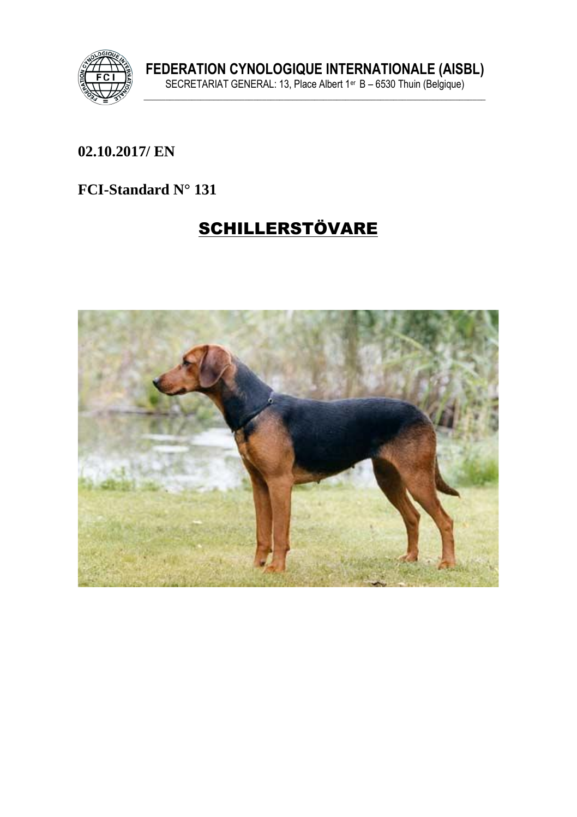

FEDERATION CYNOLOGIQUE INTERNATIONALE (AISBL)<br>SECRETARIAT GENERAL: 13, Place Albert 1<sup>er</sup> B – 6530 Thuin (Belgique)

## 02.10.2017/ EN

#### FCI-Standard N° 131

# **SCHILLERSTÖVARE**

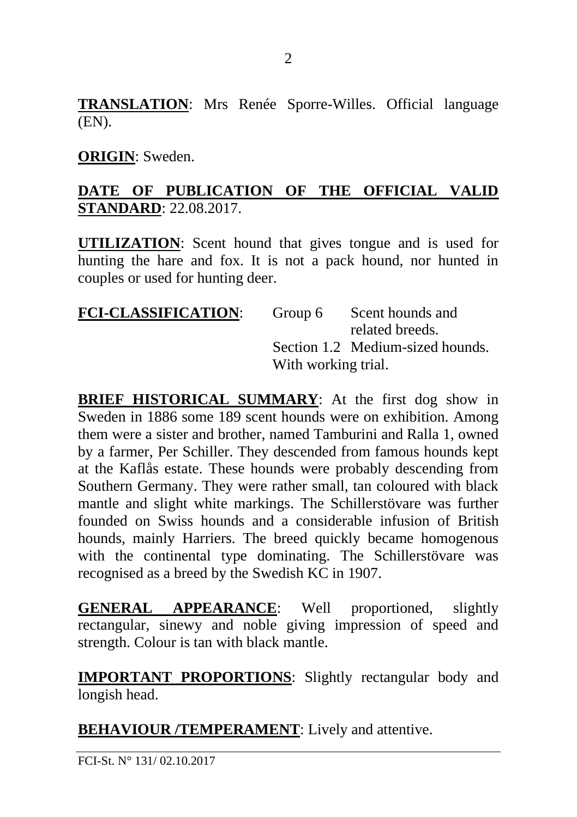**TRANSLATION**: Mrs Renée Sporre-Willes. Official language (EN).

#### **ORIGIN**: Sweden.

#### **DATE OF PUBLICATION OF THE OFFICIAL VALID STANDARD**: 22.08.2017.

**UTILIZATION**: Scent hound that gives tongue and is used for hunting the hare and fox. It is not a pack hound, nor hunted in couples or used for hunting deer.

| <b>FCI-CLASSIFICATION:</b> | Group 6             | Scent hounds and                 |
|----------------------------|---------------------|----------------------------------|
|                            |                     | related breeds.                  |
|                            |                     | Section 1.2 Medium-sized hounds. |
|                            | With working trial. |                                  |

**BRIEF HISTORICAL SUMMARY**: At the first dog show in Sweden in 1886 some 189 scent hounds were on exhibition. Among them were a sister and brother, named Tamburini and Ralla 1, owned by a farmer, Per Schiller. They descended from famous hounds kept at the Kaflås estate. These hounds were probably descending from Southern Germany. They were rather small, tan coloured with black mantle and slight white markings. The Schillerstövare was further founded on Swiss hounds and a considerable infusion of British hounds, mainly Harriers. The breed quickly became homogenous with the continental type dominating. The Schillerstövare was recognised as a breed by the Swedish KC in 1907.

**GENERAL APPEARANCE**: Well proportioned, slightly rectangular, sinewy and noble giving impression of speed and strength. Colour is tan with black mantle.

**IMPORTANT PROPORTIONS**: Slightly rectangular body and longish head.

**BEHAVIOUR /TEMPERAMENT**: Lively and attentive.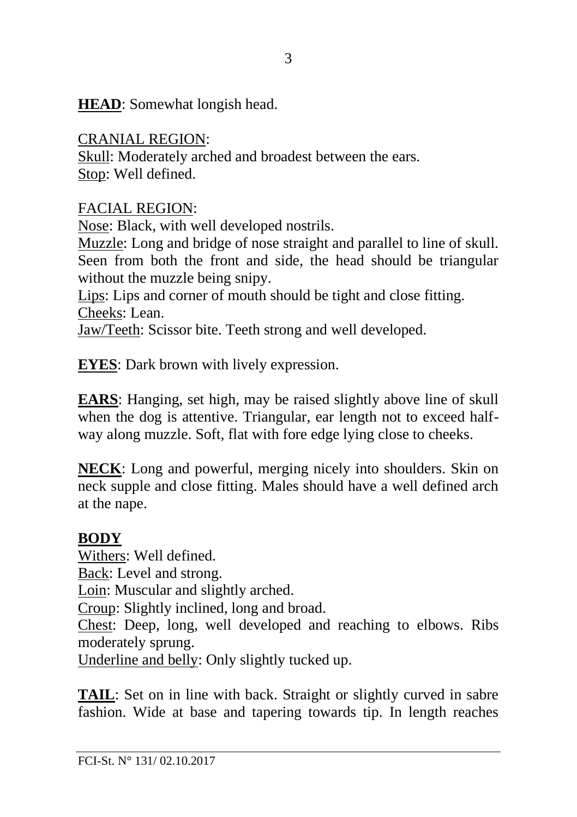**HEAD**: Somewhat longish head.

CRANIAL REGION: Skull: Moderately arched and broadest between the ears. Stop: Well defined.

FACIAL REGION:

Nose: Black, with well developed nostrils.

Muzzle: Long and bridge of nose straight and parallel to line of skull. Seen from both the front and side, the head should be triangular without the muzzle being snipy.

Lips: Lips and corner of mouth should be tight and close fitting. Cheeks: Lean.

Jaw/Teeth: Scissor bite. Teeth strong and well developed.

**EYES**: Dark brown with lively expression.

**EARS**: Hanging, set high, may be raised slightly above line of skull when the dog is attentive. Triangular, ear length not to exceed halfway along muzzle. Soft, flat with fore edge lying close to cheeks.

**NECK**: Long and powerful, merging nicely into shoulders. Skin on neck supple and close fitting. Males should have a well defined arch at the nape.

### **BODY**

Withers: Well defined. Back: Level and strong. Loin: Muscular and slightly arched. Croup: Slightly inclined, long and broad. Chest: Deep, long, well developed and reaching to elbows. Ribs moderately sprung. Underline and belly: Only slightly tucked up.

**TAIL**: Set on in line with back. Straight or slightly curved in sabre fashion. Wide at base and tapering towards tip. In length reaches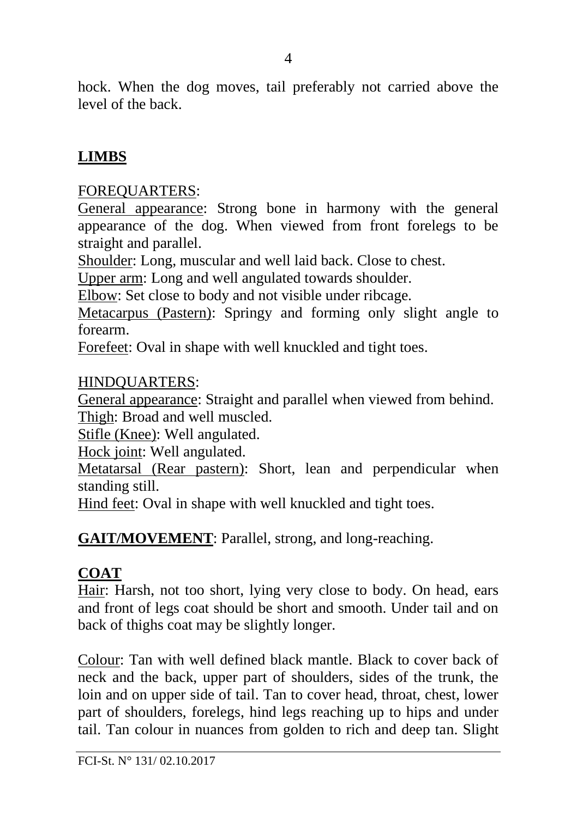hock. When the dog moves, tail preferably not carried above the level of the back.

## **LIMBS**

#### FOREQUARTERS:

General appearance: Strong bone in harmony with the general appearance of the dog. When viewed from front forelegs to be straight and parallel.

Shoulder: Long, muscular and well laid back. Close to chest.

Upper arm: Long and well angulated towards shoulder.

Elbow: Set close to body and not visible under ribcage.

Metacarpus (Pastern): Springy and forming only slight angle to forearm.

Forefeet: Oval in shape with well knuckled and tight toes.

#### HINDQUARTERS:

General appearance: Straight and parallel when viewed from behind. Thigh: Broad and well muscled.

Stifle (Knee): Well angulated.

Hock joint: Well angulated.

Metatarsal (Rear pastern): Short, lean and perpendicular when standing still.

Hind feet: Oval in shape with well knuckled and tight toes.

**GAIT/MOVEMENT**: Parallel, strong, and long-reaching.

### **COAT**

Hair: Harsh, not too short, lying very close to body. On head, ears and front of legs coat should be short and smooth. Under tail and on back of thighs coat may be slightly longer.

Colour: Tan with well defined black mantle. Black to cover back of neck and the back, upper part of shoulders, sides of the trunk, the loin and on upper side of tail. Tan to cover head, throat, chest, lower part of shoulders, forelegs, hind legs reaching up to hips and under tail. Tan colour in nuances from golden to rich and deep tan. Slight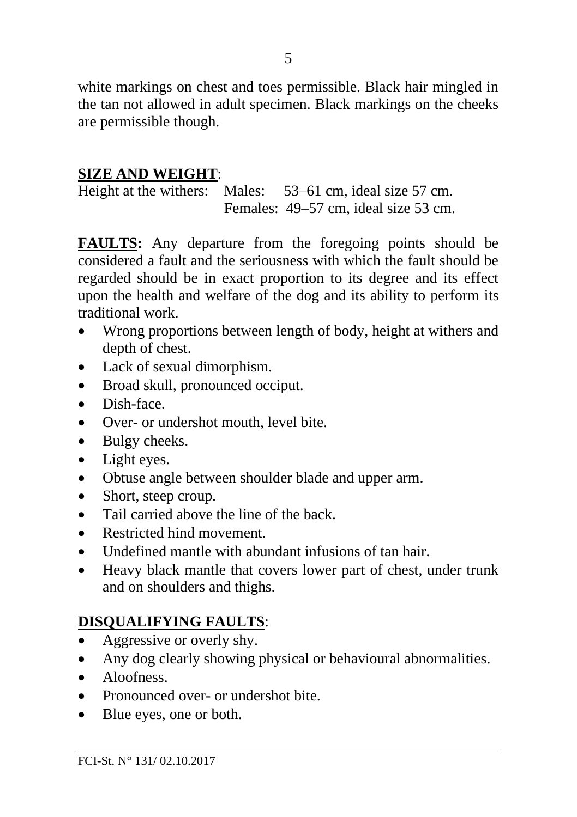white markings on chest and toes permissible. Black hair mingled in the tan not allowed in adult specimen. Black markings on the cheeks are permissible though.

#### **SIZE AND WEIGHT**:

Height at the withers: Males: 53–61 cm, ideal size 57 cm. Females: 49–57 cm, ideal size 53 cm.

**FAULTS:** Any departure from the foregoing points should be considered a fault and the seriousness with which the fault should be regarded should be in exact proportion to its degree and its effect upon the health and welfare of the dog and its ability to perform its traditional work.

- Wrong proportions between length of body, height at withers and depth of chest.
- Lack of sexual dimorphism.
- Broad skull, pronounced occiput.
- Dish-face.
- Over- or undershot mouth, level bite.
- Bulgy cheeks.
- Light eyes.
- Obtuse angle between shoulder blade and upper arm.
- Short, steep croup.
- Tail carried above the line of the back.
- Restricted hind movement.
- Undefined mantle with abundant infusions of tan hair.
- Heavy black mantle that covers lower part of chest, under trunk and on shoulders and thighs.

## **DISQUALIFYING FAULTS**:

- Aggressive or overly shy.
- Any dog clearly showing physical or behavioural abnormalities.
- Aloofness
- Pronounced over- or undershot bite.
- Blue eyes, one or both.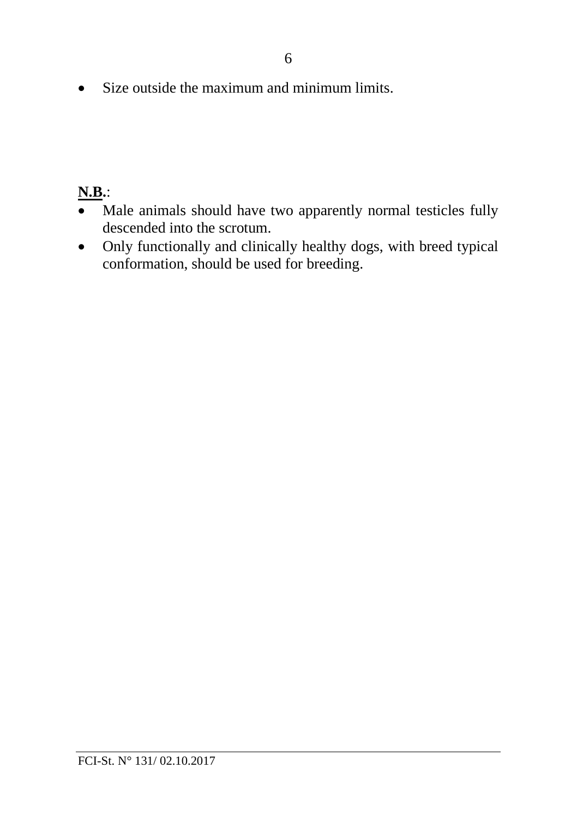• Size outside the maximum and minimum limits.

## **N.B.**:

- Male animals should have two apparently normal testicles fully descended into the scrotum.
- Only functionally and clinically healthy dogs, with breed typical conformation, should be used for breeding.